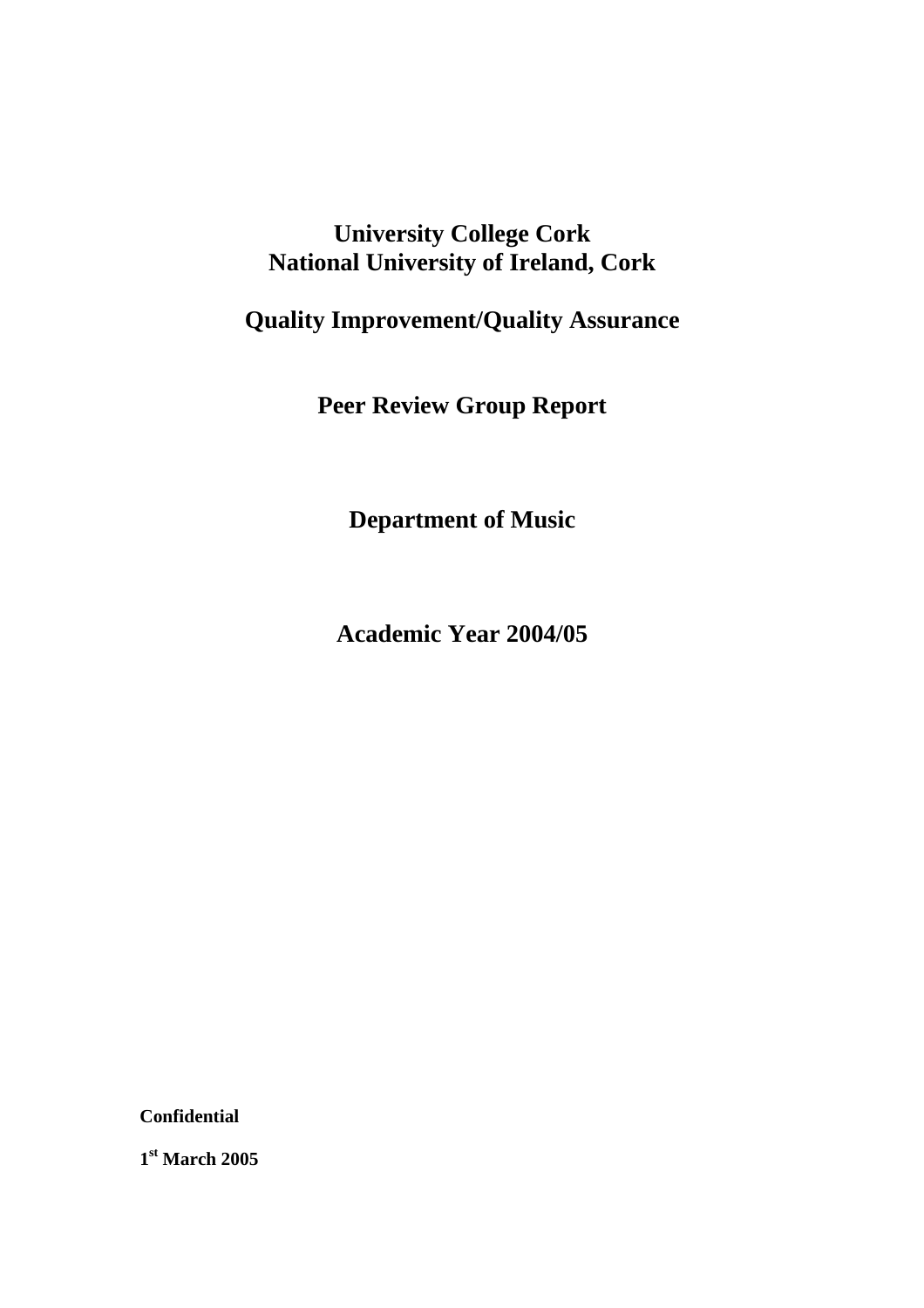# **University College Cork National University of Ireland, Cork**

**Quality Improvement/Quality Assurance** 

**Peer Review Group Report** 

**Department of Music** 

**Academic Year 2004/05** 

**Confidential** 

**1st March 2005**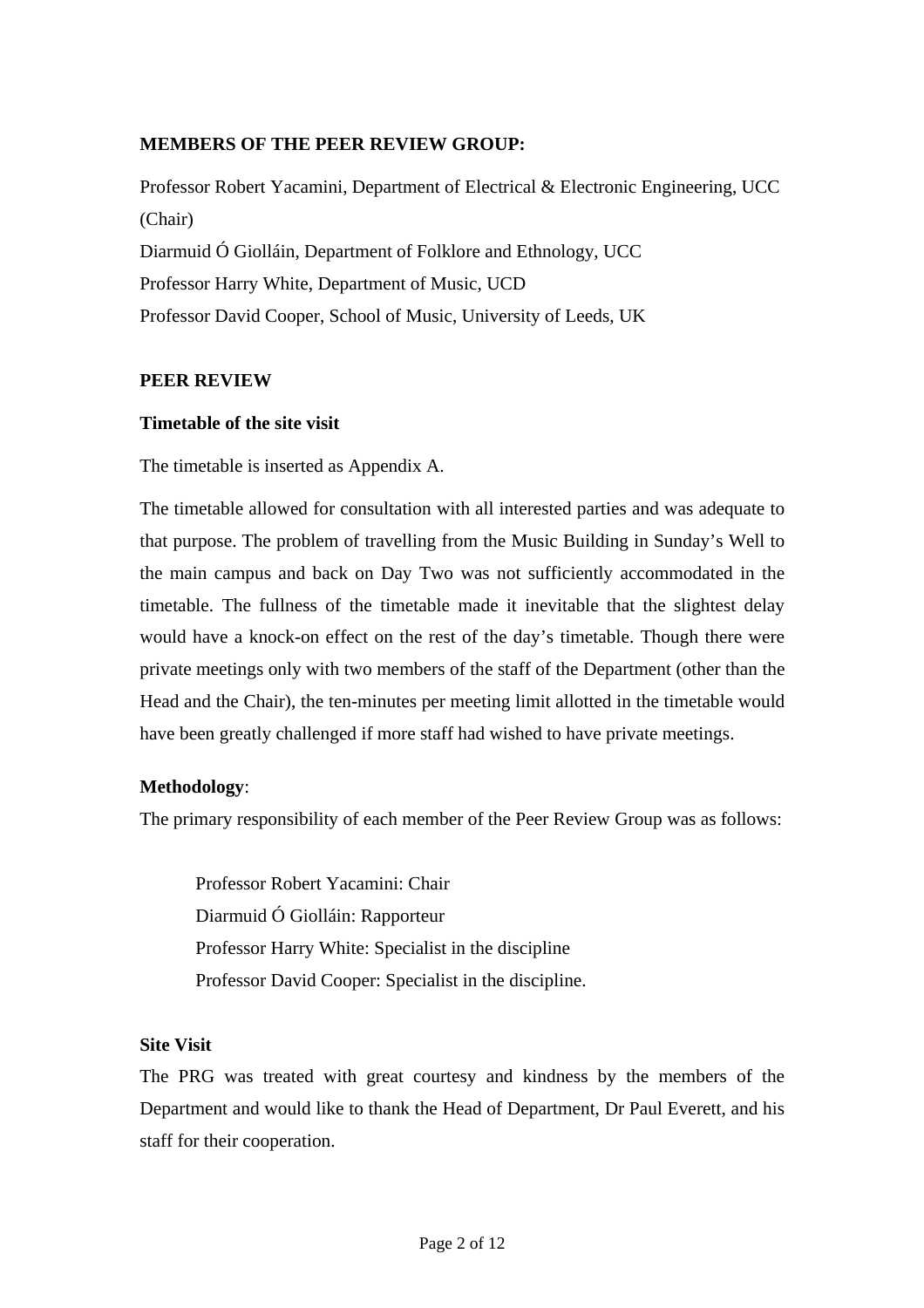#### **MEMBERS OF THE PEER REVIEW GROUP:**

Professor Robert Yacamini, Department of Electrical & Electronic Engineering, UCC (Chair) Diarmuid Ó Giolláin, Department of Folklore and Ethnology, UCC

Professor Harry White, Department of Music, UCD

Professor David Cooper, School of Music, University of Leeds, UK

## **PEER REVIEW**

### **Timetable of the site visit**

The timetable is inserted as Appendix A.

The timetable allowed for consultation with all interested parties and was adequate to that purpose. The problem of travelling from the Music Building in Sunday's Well to the main campus and back on Day Two was not sufficiently accommodated in the timetable. The fullness of the timetable made it inevitable that the slightest delay would have a knock-on effect on the rest of the day's timetable. Though there were private meetings only with two members of the staff of the Department (other than the Head and the Chair), the ten-minutes per meeting limit allotted in the timetable would have been greatly challenged if more staff had wished to have private meetings.

## **Methodology**:

The primary responsibility of each member of the Peer Review Group was as follows:

Professor Robert Yacamini: Chair Diarmuid Ó Giolláin: Rapporteur Professor Harry White: Specialist in the discipline Professor David Cooper: Specialist in the discipline.

#### **Site Visit**

The PRG was treated with great courtesy and kindness by the members of the Department and would like to thank the Head of Department, Dr Paul Everett, and his staff for their cooperation.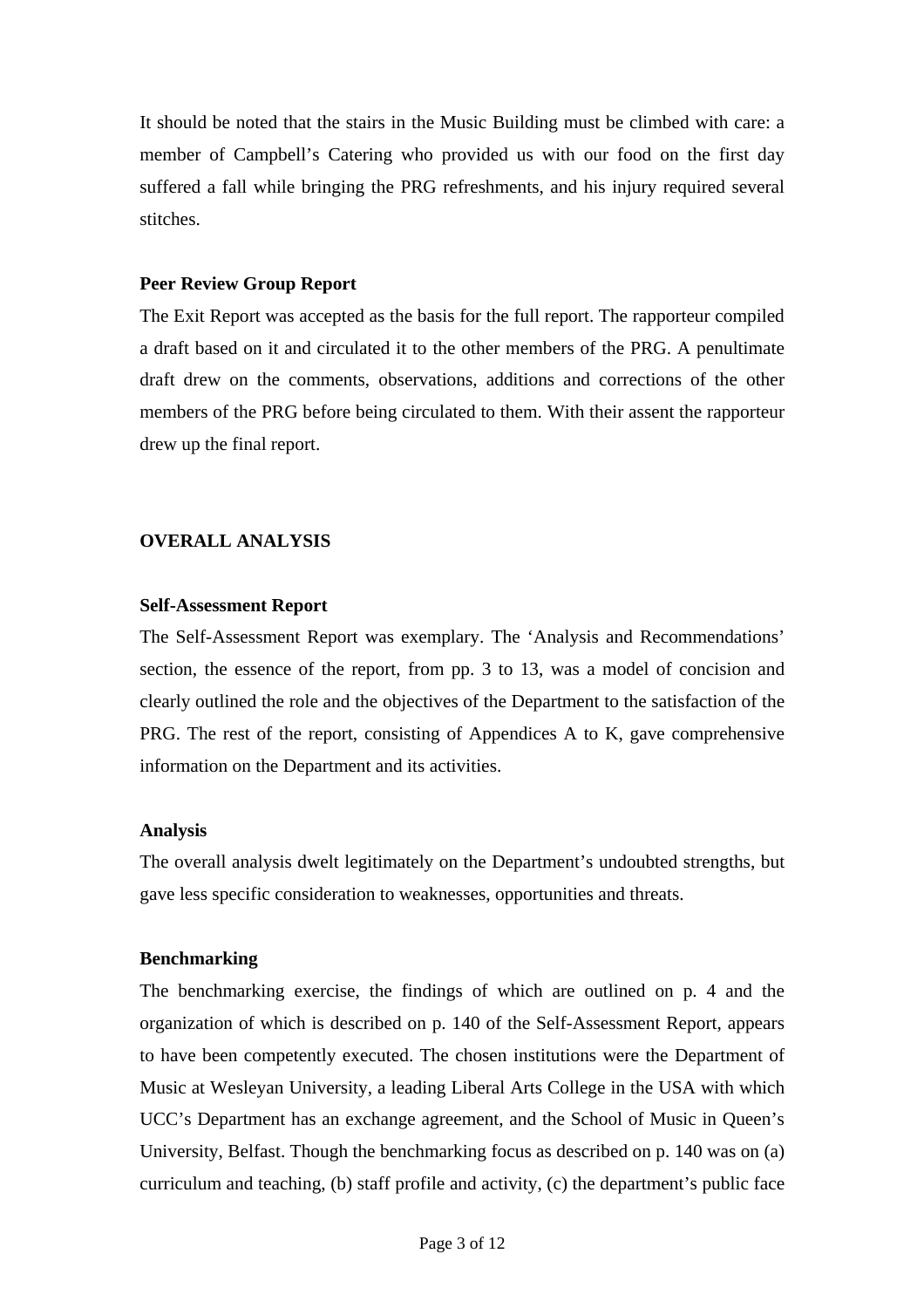It should be noted that the stairs in the Music Building must be climbed with care: a member of Campbell's Catering who provided us with our food on the first day suffered a fall while bringing the PRG refreshments, and his injury required several stitches.

#### **Peer Review Group Report**

The Exit Report was accepted as the basis for the full report. The rapporteur compiled a draft based on it and circulated it to the other members of the PRG. A penultimate draft drew on the comments, observations, additions and corrections of the other members of the PRG before being circulated to them. With their assent the rapporteur drew up the final report.

#### **OVERALL ANALYSIS**

#### **Self-Assessment Report**

The Self-Assessment Report was exemplary. The 'Analysis and Recommendations' section, the essence of the report, from pp. 3 to 13, was a model of concision and clearly outlined the role and the objectives of the Department to the satisfaction of the PRG. The rest of the report, consisting of Appendices A to K, gave comprehensive information on the Department and its activities.

#### **Analysis**

The overall analysis dwelt legitimately on the Department's undoubted strengths, but gave less specific consideration to weaknesses, opportunities and threats.

#### **Benchmarking**

The benchmarking exercise, the findings of which are outlined on p. 4 and the organization of which is described on p. 140 of the Self-Assessment Report, appears to have been competently executed. The chosen institutions were the Department of Music at Wesleyan University, a leading Liberal Arts College in the USA with which UCC's Department has an exchange agreement, and the School of Music in Queen's University, Belfast. Though the benchmarking focus as described on p. 140 was on (a) curriculum and teaching, (b) staff profile and activity, (c) the department's public face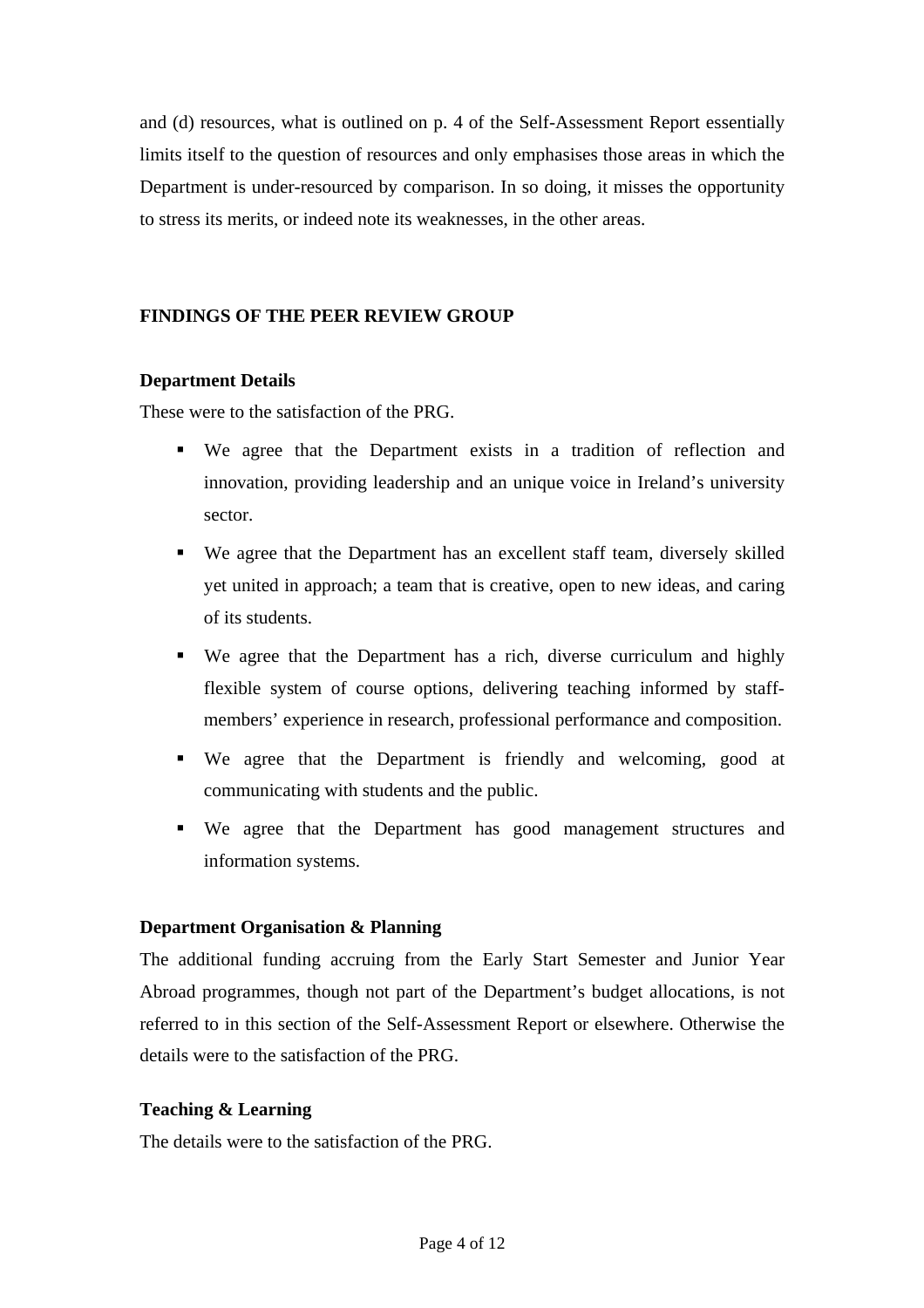and (d) resources, what is outlined on p. 4 of the Self-Assessment Report essentially limits itself to the question of resources and only emphasises those areas in which the Department is under-resourced by comparison. In so doing, it misses the opportunity to stress its merits, or indeed note its weaknesses, in the other areas.

#### **FINDINGS OF THE PEER REVIEW GROUP**

#### **Department Details**

These were to the satisfaction of the PRG.

- We agree that the Department exists in a tradition of reflection and innovation, providing leadership and an unique voice in Ireland's university sector.
- We agree that the Department has an excellent staff team, diversely skilled yet united in approach; a team that is creative, open to new ideas, and caring of its students.
- We agree that the Department has a rich, diverse curriculum and highly flexible system of course options, delivering teaching informed by staffmembers' experience in research, professional performance and composition.
- We agree that the Department is friendly and welcoming, good at communicating with students and the public.
- We agree that the Department has good management structures and information systems.

#### **Department Organisation & Planning**

The additional funding accruing from the Early Start Semester and Junior Year Abroad programmes, though not part of the Department's budget allocations, is not referred to in this section of the Self-Assessment Report or elsewhere. Otherwise the details were to the satisfaction of the PRG.

#### **Teaching & Learning**

The details were to the satisfaction of the PRG.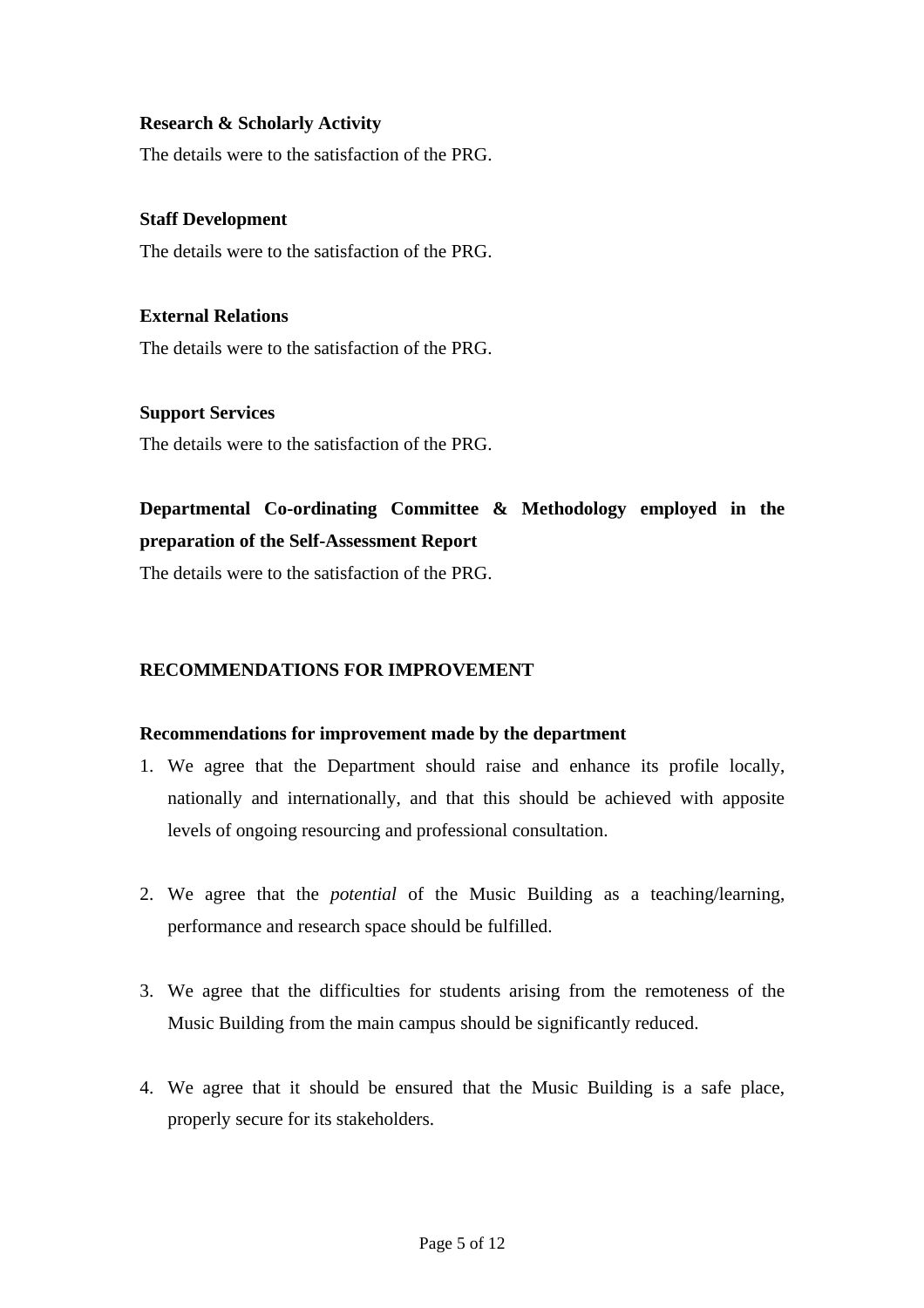### **Research & Scholarly Activity**

The details were to the satisfaction of the PRG.

## **Staff Development**

The details were to the satisfaction of the PRG.

# **External Relations**  The details were to the satisfaction of the PRG.

#### **Support Services**

The details were to the satisfaction of the PRG.

# **Departmental Co-ordinating Committee & Methodology employed in the preparation of the Self-Assessment Report**

The details were to the satisfaction of the PRG.

## **RECOMMENDATIONS FOR IMPROVEMENT**

#### **Recommendations for improvement made by the department**

- 1. We agree that the Department should raise and enhance its profile locally, nationally and internationally, and that this should be achieved with apposite levels of ongoing resourcing and professional consultation.
- 2. We agree that the *potential* of the Music Building as a teaching/learning, performance and research space should be fulfilled.
- 3. We agree that the difficulties for students arising from the remoteness of the Music Building from the main campus should be significantly reduced.
- 4. We agree that it should be ensured that the Music Building is a safe place, properly secure for its stakeholders.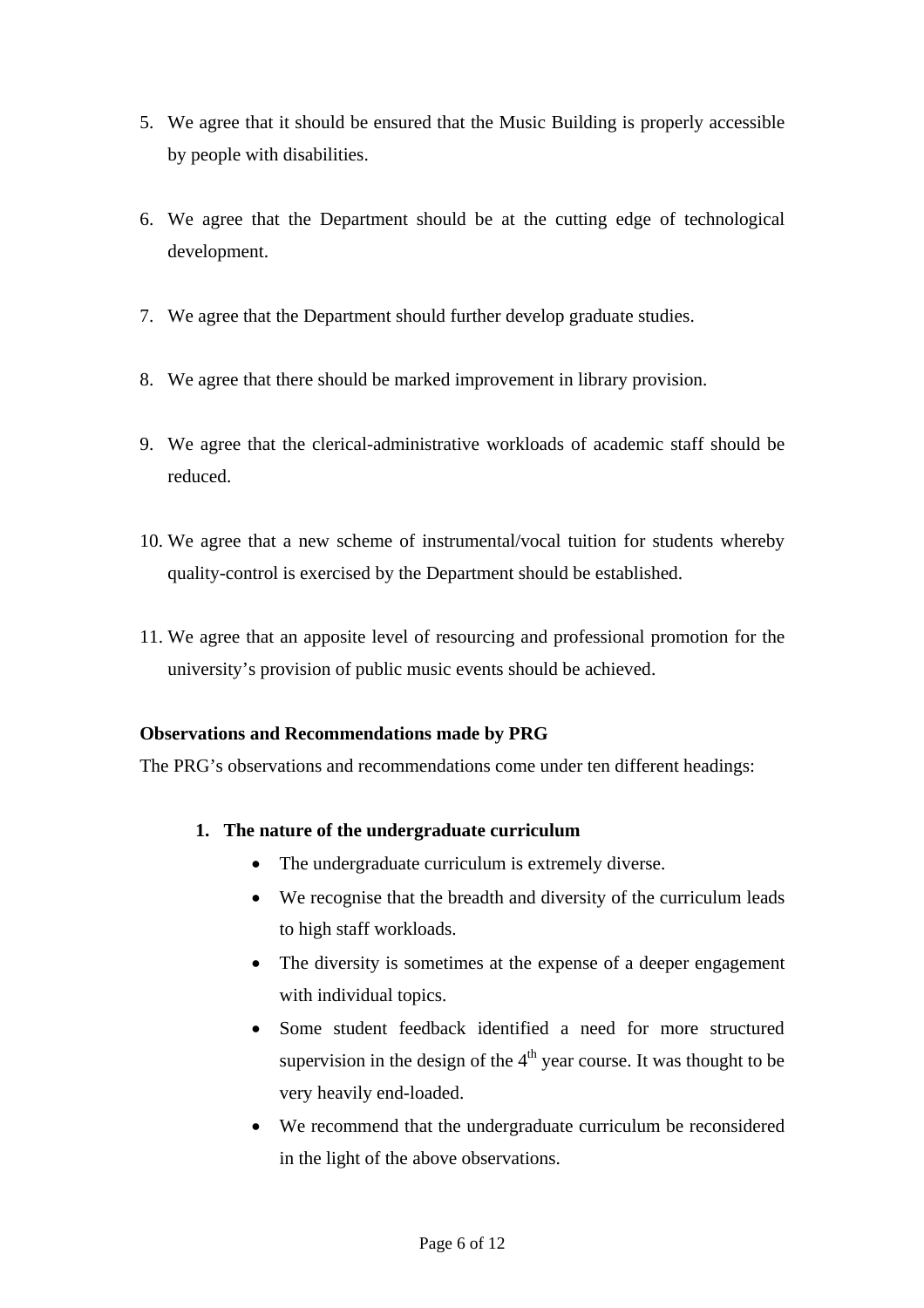- 5. We agree that it should be ensured that the Music Building is properly accessible by people with disabilities.
- 6. We agree that the Department should be at the cutting edge of technological development.
- 7. We agree that the Department should further develop graduate studies.
- 8. We agree that there should be marked improvement in library provision.
- 9. We agree that the clerical-administrative workloads of academic staff should be reduced.
- 10. We agree that a new scheme of instrumental/vocal tuition for students whereby quality-control is exercised by the Department should be established.
- 11. We agree that an apposite level of resourcing and professional promotion for the university's provision of public music events should be achieved.

## **Observations and Recommendations made by PRG**

The PRG's observations and recommendations come under ten different headings:

## **1. The nature of the undergraduate curriculum**

- The undergraduate curriculum is extremely diverse.
- We recognise that the breadth and diversity of the curriculum leads to high staff workloads.
- The diversity is sometimes at the expense of a deeper engagement with individual topics.
- Some student feedback identified a need for more structured supervision in the design of the  $4<sup>th</sup>$  year course. It was thought to be very heavily end-loaded.
- We recommend that the undergraduate curriculum be reconsidered in the light of the above observations.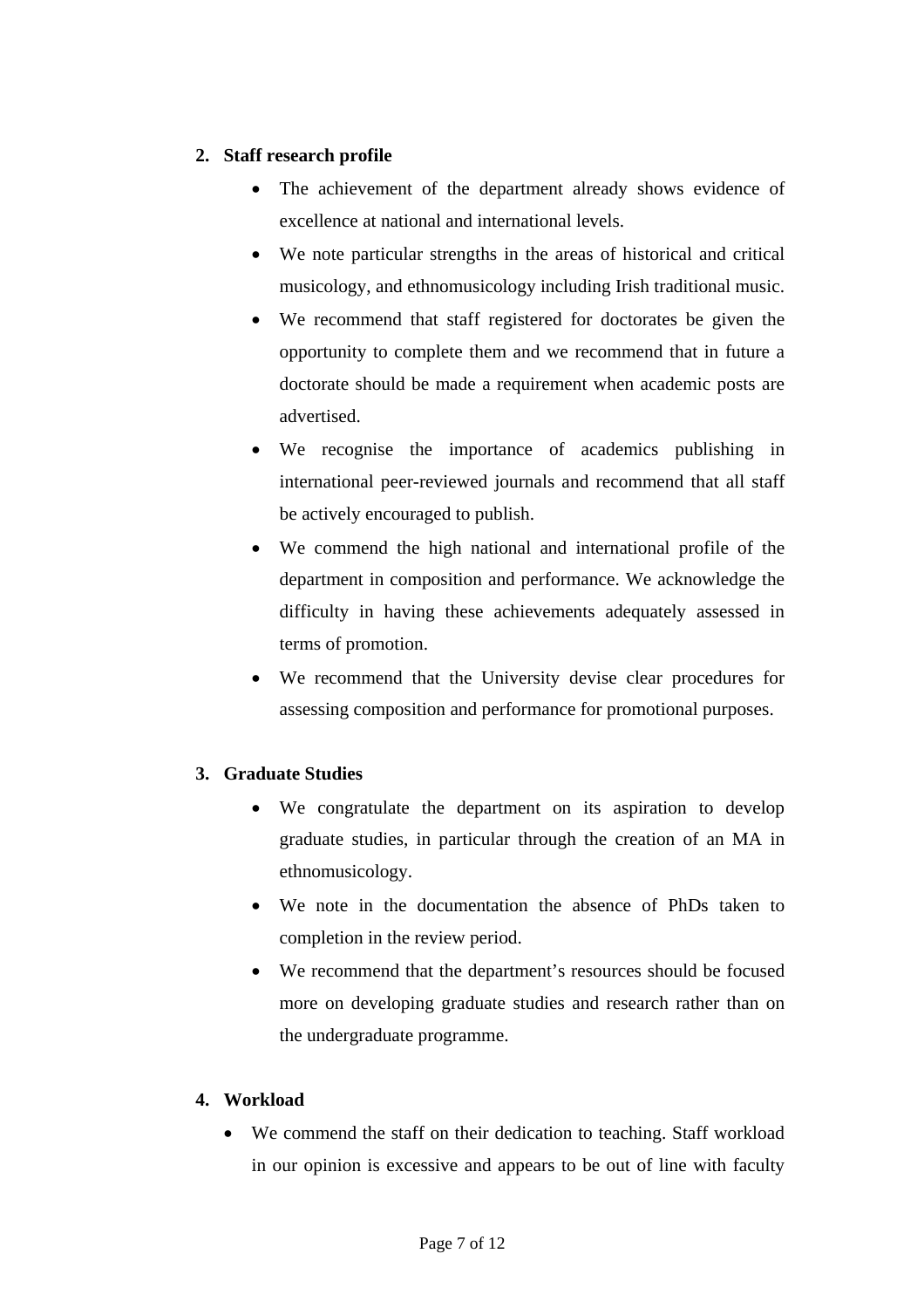## **2. Staff research profile**

- The achievement of the department already shows evidence of excellence at national and international levels.
- We note particular strengths in the areas of historical and critical musicology, and ethnomusicology including Irish traditional music.
- We recommend that staff registered for doctorates be given the opportunity to complete them and we recommend that in future a doctorate should be made a requirement when academic posts are advertised.
- We recognise the importance of academics publishing in international peer-reviewed journals and recommend that all staff be actively encouraged to publish.
- We commend the high national and international profile of the department in composition and performance. We acknowledge the difficulty in having these achievements adequately assessed in terms of promotion.
- We recommend that the University devise clear procedures for assessing composition and performance for promotional purposes.

## **3. Graduate Studies**

- We congratulate the department on its aspiration to develop graduate studies, in particular through the creation of an MA in ethnomusicology.
- We note in the documentation the absence of PhDs taken to completion in the review period.
- We recommend that the department's resources should be focused more on developing graduate studies and research rather than on the undergraduate programme.

## **4. Workload**

• We commend the staff on their dedication to teaching. Staff workload in our opinion is excessive and appears to be out of line with faculty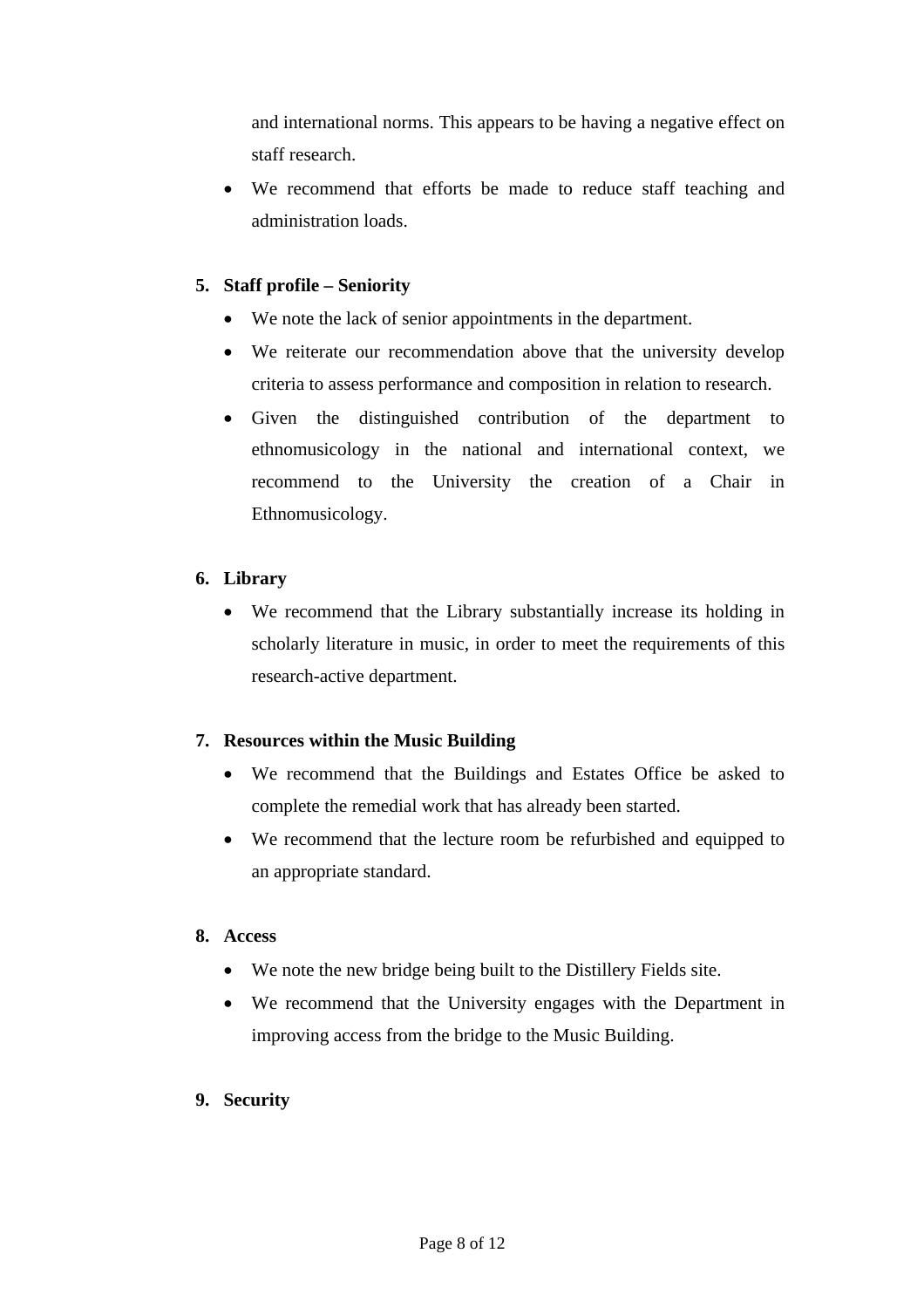and international norms. This appears to be having a negative effect on staff research.

• We recommend that efforts be made to reduce staff teaching and administration loads.

## **5. Staff profile – Seniority**

- We note the lack of senior appointments in the department.
- We reiterate our recommendation above that the university develop criteria to assess performance and composition in relation to research.
- Given the distinguished contribution of the department to ethnomusicology in the national and international context, we recommend to the University the creation of a Chair in Ethnomusicology.

## **6. Library**

• We recommend that the Library substantially increase its holding in scholarly literature in music, in order to meet the requirements of this research-active department.

## **7. Resources within the Music Building**

- We recommend that the Buildings and Estates Office be asked to complete the remedial work that has already been started.
- We recommend that the lecture room be refurbished and equipped to an appropriate standard.

## **8. Access**

- We note the new bridge being built to the Distillery Fields site.
- We recommend that the University engages with the Department in improving access from the bridge to the Music Building.

## **9. Security**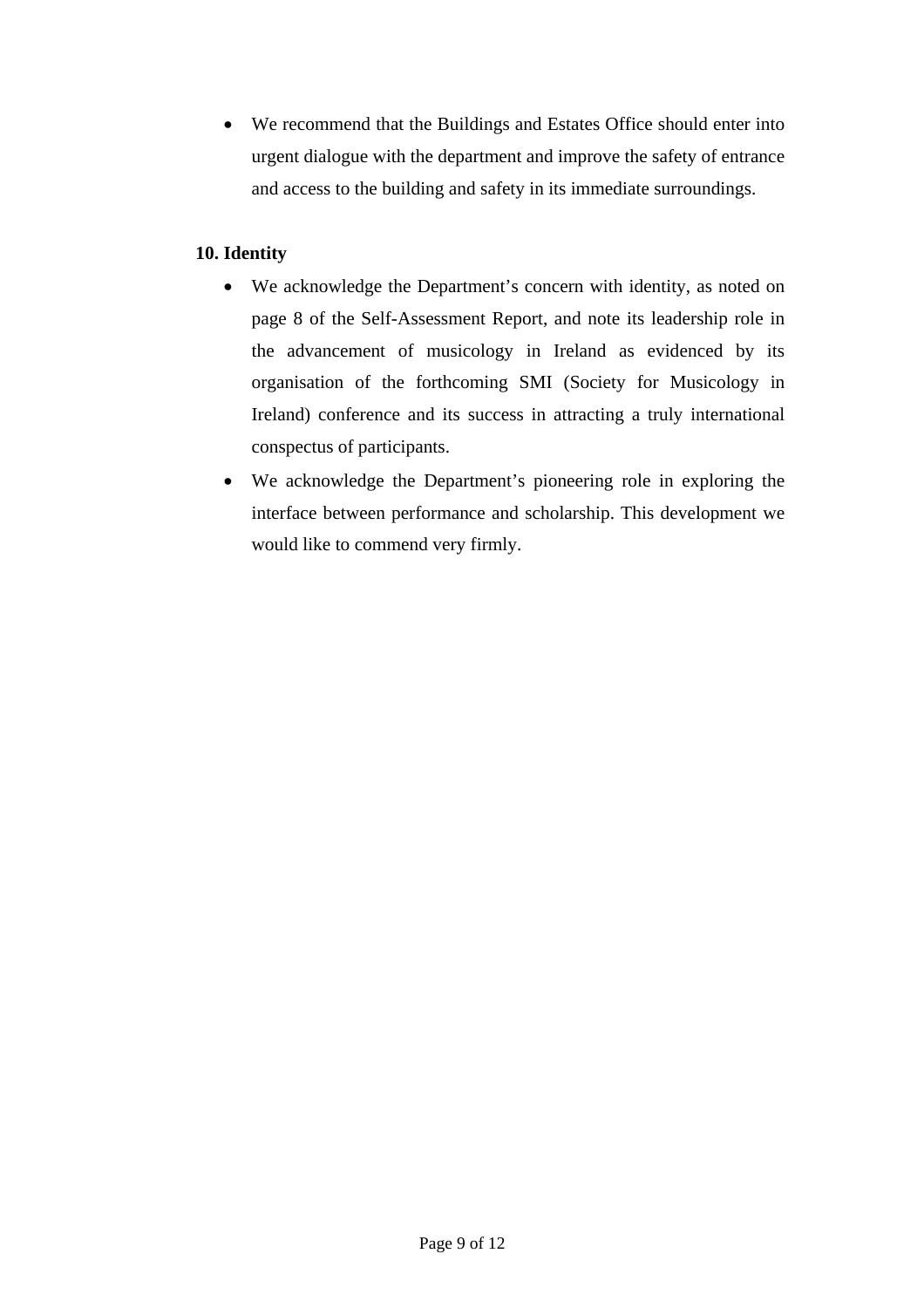• We recommend that the Buildings and Estates Office should enter into urgent dialogue with the department and improve the safety of entrance and access to the building and safety in its immediate surroundings.

## **10. Identity**

- We acknowledge the Department's concern with identity, as noted on page 8 of the Self-Assessment Report, and note its leadership role in the advancement of musicology in Ireland as evidenced by its organisation of the forthcoming SMI (Society for Musicology in Ireland) conference and its success in attracting a truly international conspectus of participants.
- We acknowledge the Department's pioneering role in exploring the interface between performance and scholarship. This development we would like to commend very firmly.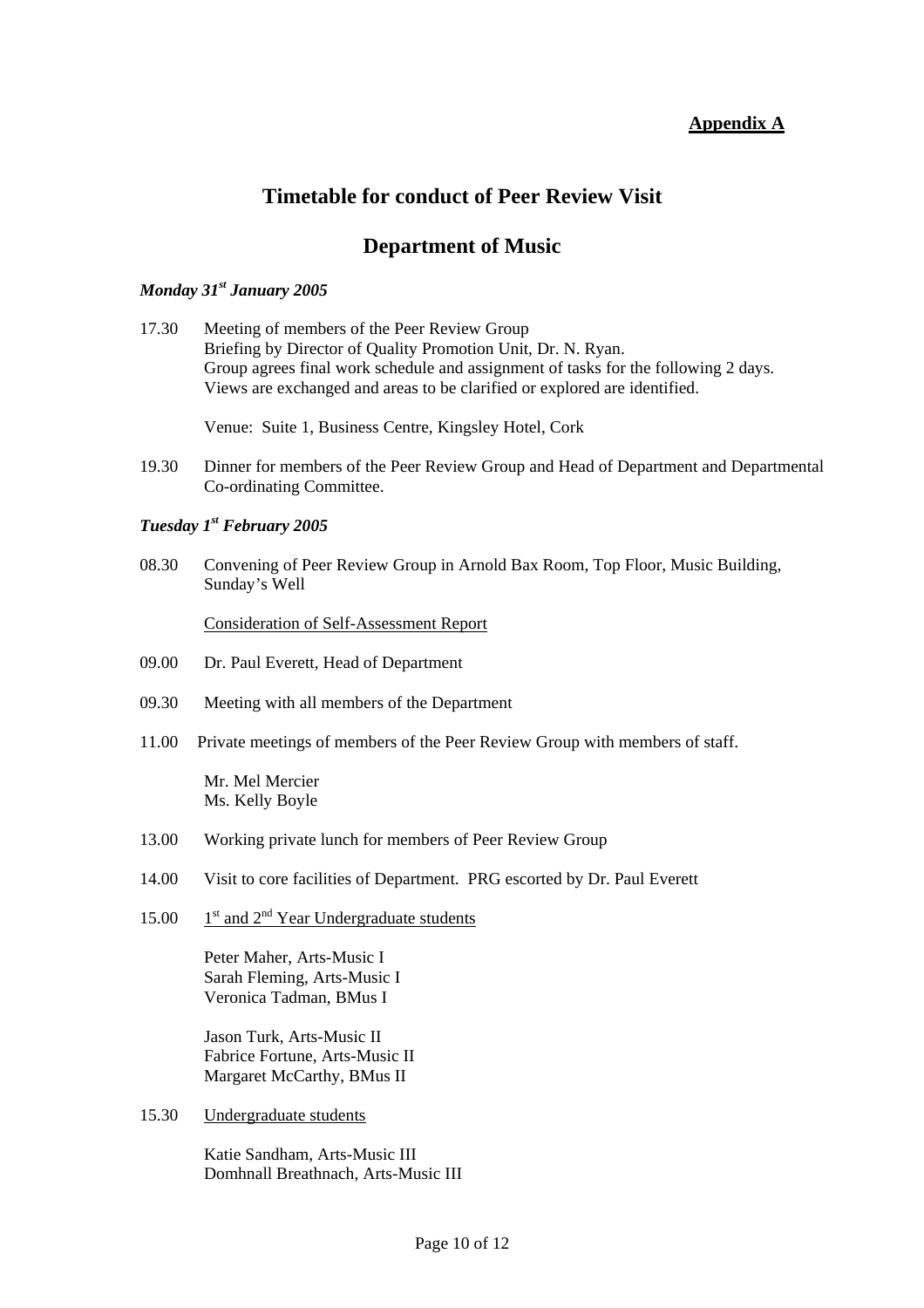## **Appendix A**

# **Timetable for conduct of Peer Review Visit**

# **Department of Music**

#### *Monday 31st January 2005*

17.30 Meeting of members of the Peer Review Group Briefing by Director of Quality Promotion Unit, Dr. N. Ryan. Group agrees final work schedule and assignment of tasks for the following 2 days. Views are exchanged and areas to be clarified or explored are identified.

Venue: Suite 1, Business Centre, Kingsley Hotel, Cork

19.30 Dinner for members of the Peer Review Group and Head of Department and Departmental Co-ordinating Committee.

#### *Tuesday 1st February 2005*

08.30 Convening of Peer Review Group in Arnold Bax Room, Top Floor, Music Building, Sunday's Well

Consideration of Self-Assessment Report

- 09.00 Dr. Paul Everett, Head of Department
- 09.30 Meeting with all members of the Department
- 11.00 Private meetings of members of the Peer Review Group with members of staff.

Mr. Mel Mercier Ms. Kelly Boyle

- 13.00 Working private lunch for members of Peer Review Group
- 14.00 Visit to core facilities of Department. PRG escorted by Dr. Paul Everett
- 15.00  $1<sup>st</sup>$  and  $2<sup>nd</sup>$  Year Undergraduate students

Peter Maher, Arts-Music I Sarah Fleming, Arts-Music I Veronica Tadman, BMus I

Jason Turk, Arts-Music II Fabrice Fortune, Arts-Music II Margaret McCarthy, BMus II

15.30 Undergraduate students

Katie Sandham, Arts-Music III Domhnall Breathnach, Arts-Music III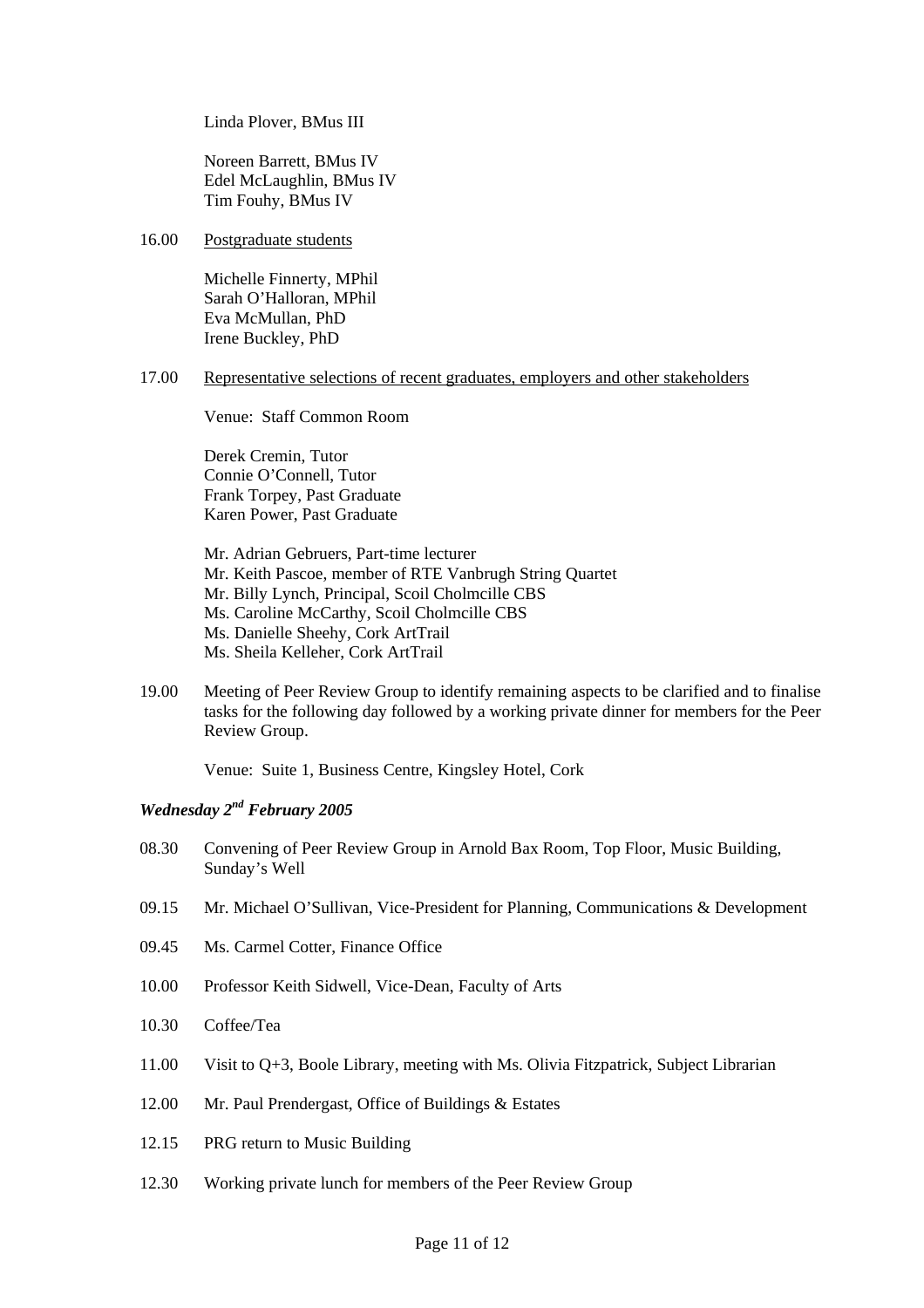Linda Plover, BMus III

Noreen Barrett, BMus IV Edel McLaughlin, BMus IV Tim Fouhy, BMus IV

16.00 Postgraduate students

Michelle Finnerty, MPhil Sarah O'Halloran, MPhil Eva McMullan, PhD Irene Buckley, PhD

17.00 Representative selections of recent graduates, employers and other stakeholders

Venue: Staff Common Room

Derek Cremin, Tutor Connie O'Connell, Tutor Frank Torpey, Past Graduate Karen Power, Past Graduate

Mr. Adrian Gebruers, Part-time lecturer Mr. Keith Pascoe, member of RTE Vanbrugh String Quartet Mr. Billy Lynch, Principal, Scoil Cholmcille CBS Ms. Caroline McCarthy, Scoil Cholmcille CBS Ms. Danielle Sheehy, Cork ArtTrail Ms. Sheila Kelleher, Cork ArtTrail

19.00 Meeting of Peer Review Group to identify remaining aspects to be clarified and to finalise tasks for the following day followed by a working private dinner for members for the Peer Review Group.

Venue: Suite 1, Business Centre, Kingsley Hotel, Cork

#### *Wednesday 2nd February 2005*

- 08.30 Convening of Peer Review Group in Arnold Bax Room, Top Floor, Music Building, Sunday's Well
- 09.15 Mr. Michael O'Sullivan, Vice-President for Planning, Communications & Development
- 09.45 Ms. Carmel Cotter, Finance Office
- 10.00 Professor Keith Sidwell, Vice-Dean, Faculty of Arts
- 10.30 Coffee/Tea
- 11.00 Visit to Q+3, Boole Library, meeting with Ms. Olivia Fitzpatrick, Subject Librarian
- 12.00 Mr. Paul Prendergast, Office of Buildings & Estates
- 12.15 PRG return to Music Building
- 12.30 Working private lunch for members of the Peer Review Group